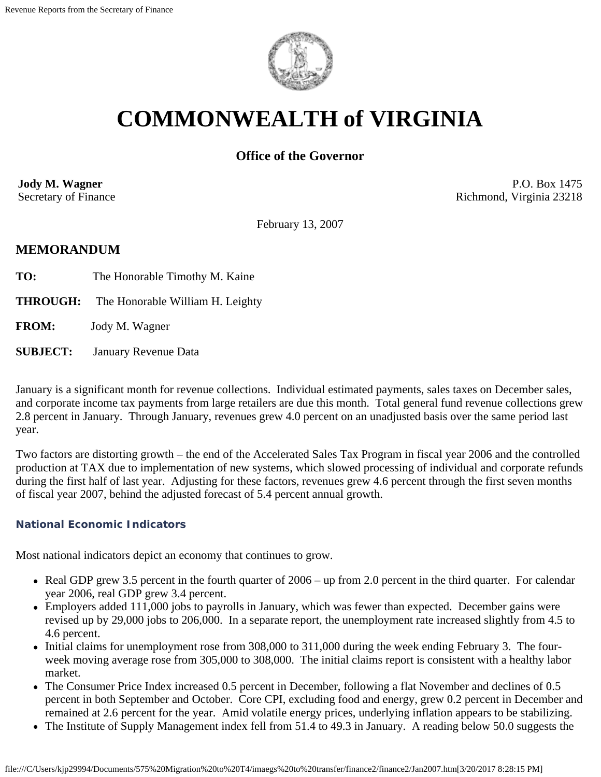

# **COMMONWEALTH of VIRGINIA**

# **Office of the Governor**

**Jody M. Wagner**  Secretary of Finance

P.O. Box 1475 Richmond, Virginia 23218

February 13, 2007

## **MEMORANDUM**

- **TO:** The Honorable Timothy M. Kaine
- **THROUGH:** The Honorable William H. Leighty

**FROM:** Jody M. Wagner

**SUBJECT:** January Revenue Data

January is a significant month for revenue collections. Individual estimated payments, sales taxes on December sales, and corporate income tax payments from large retailers are due this month. Total general fund revenue collections grew 2.8 percent in January. Through January, revenues grew 4.0 percent on an unadjusted basis over the same period last year.

Two factors are distorting growth – the end of the Accelerated Sales Tax Program in fiscal year 2006 and the controlled production at TAX due to implementation of new systems, which slowed processing of individual and corporate refunds during the first half of last year. Adjusting for these factors, revenues grew 4.6 percent through the first seven months of fiscal year 2007, behind the adjusted forecast of 5.4 percent annual growth.

#### **National Economic Indicators**

Most national indicators depict an economy that continues to grow.

- Real GDP grew 3.5 percent in the fourth quarter of 2006 up from 2.0 percent in the third quarter. For calendar year 2006, real GDP grew 3.4 percent.
- Employers added 111,000 jobs to payrolls in January, which was fewer than expected. December gains were revised up by 29,000 jobs to 206,000. In a separate report, the unemployment rate increased slightly from 4.5 to 4.6 percent.
- Initial claims for unemployment rose from 308,000 to 311,000 during the week ending February 3. The fourweek moving average rose from 305,000 to 308,000. The initial claims report is consistent with a healthy labor market.
- The Consumer Price Index increased 0.5 percent in December, following a flat November and declines of 0.5 percent in both September and October. Core CPI, excluding food and energy, grew 0.2 percent in December and remained at 2.6 percent for the year. Amid volatile energy prices, underlying inflation appears to be stabilizing.
- The Institute of Supply Management index fell from 51.4 to 49.3 in January. A reading below 50.0 suggests the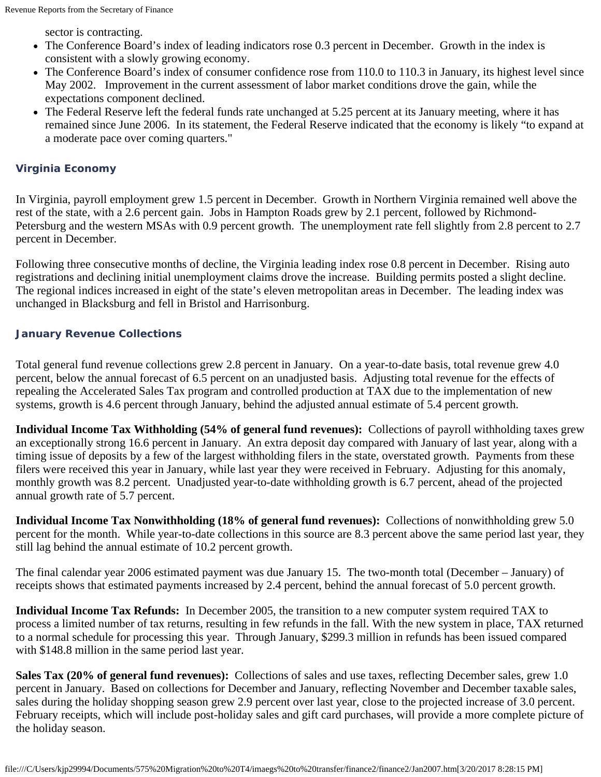sector is contracting.

- The Conference Board's index of leading indicators rose 0.3 percent in December. Growth in the index is consistent with a slowly growing economy.
- The Conference Board's index of consumer confidence rose from 110.0 to 110.3 in January, its highest level since May 2002. Improvement in the current assessment of labor market conditions drove the gain, while the expectations component declined.
- The Federal Reserve left the federal funds rate unchanged at 5.25 percent at its January meeting, where it has remained since June 2006. In its statement, the Federal Reserve indicated that the economy is likely "to expand at a moderate pace over coming quarters."

#### **Virginia Economy**

In Virginia, payroll employment grew 1.5 percent in December. Growth in Northern Virginia remained well above the rest of the state, with a 2.6 percent gain. Jobs in Hampton Roads grew by 2.1 percent, followed by Richmond-Petersburg and the western MSAs with 0.9 percent growth. The unemployment rate fell slightly from 2.8 percent to 2.7 percent in December.

Following three consecutive months of decline, the Virginia leading index rose 0.8 percent in December. Rising auto registrations and declining initial unemployment claims drove the increase. Building permits posted a slight decline. The regional indices increased in eight of the state's eleven metropolitan areas in December. The leading index was unchanged in Blacksburg and fell in Bristol and Harrisonburg.

#### **January Revenue Collections**

Total general fund revenue collections grew 2.8 percent in January. On a year-to-date basis, total revenue grew 4.0 percent, below the annual forecast of 6.5 percent on an unadjusted basis. Adjusting total revenue for the effects of repealing the Accelerated Sales Tax program and controlled production at TAX due to the implementation of new systems, growth is 4.6 percent through January, behind the adjusted annual estimate of 5.4 percent growth.

**Individual Income Tax Withholding (54% of general fund revenues):** Collections of payroll withholding taxes grew an exceptionally strong 16.6 percent in January. An extra deposit day compared with January of last year, along with a timing issue of deposits by a few of the largest withholding filers in the state, overstated growth. Payments from these filers were received this year in January, while last year they were received in February. Adjusting for this anomaly, monthly growth was 8.2 percent. Unadjusted year-to-date withholding growth is 6.7 percent, ahead of the projected annual growth rate of 5.7 percent.

**Individual Income Tax Nonwithholding (18% of general fund revenues):** Collections of nonwithholding grew 5.0 percent for the month. While year-to-date collections in this source are 8.3 percent above the same period last year, they still lag behind the annual estimate of 10.2 percent growth.

The final calendar year 2006 estimated payment was due January 15. The two-month total (December – January) of receipts shows that estimated payments increased by 2.4 percent, behind the annual forecast of 5.0 percent growth.

**Individual Income Tax Refunds:** In December 2005, the transition to a new computer system required TAX to process a limited number of tax returns, resulting in few refunds in the fall. With the new system in place, TAX returned to a normal schedule for processing this year. Through January, \$299.3 million in refunds has been issued compared with \$148.8 million in the same period last year.

**Sales Tax (20% of general fund revenues):** Collections of sales and use taxes, reflecting December sales, grew 1.0 percent in January. Based on collections for December and January, reflecting November and December taxable sales, sales during the holiday shopping season grew 2.9 percent over last year, close to the projected increase of 3.0 percent. February receipts, which will include post-holiday sales and gift card purchases, will provide a more complete picture of the holiday season.